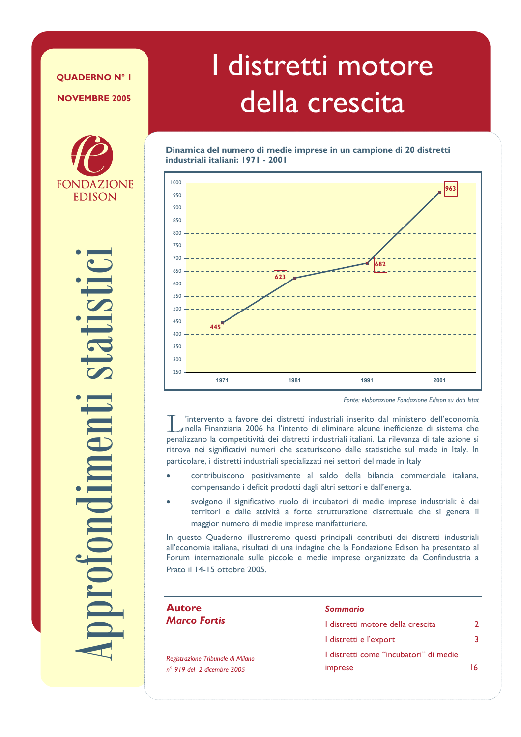#### **OUADERNO Nº I**

**NOVEMBRE 2005** 



roiondimen

# I distretti motore della crescita

Dinamica del numero di medie imprese in un campione di 20 distretti industriali italiani: 1971 - 2001



Fonte: elaborazione Fondazione Edison su dati Istat

'intervento a favore dei distretti industriali inserito dal ministero dell'economia  $\sqrt{s}$ nella Finanziaria 2006 ha l'intento di eliminare alcune inefficienze di sistema che penalizzano la competitività dei distretti industriali italiani. La rilevanza di tale azione si ritrova nei significativi numeri che scaturiscono dalle statistiche sul made in Italy. In particolare, i distretti industriali specializzati nei settori del made in Italy

- contribuiscono positivamente al saldo della bilancia commerciale italiana, compensando i deficit prodotti dagli altri settori e dall'energia.
- svolgono il significativo ruolo di incubatori di medie imprese industriali: è dai territori e dalle attività a forte strutturazione distrettuale che si genera il maggior numero di medie imprese manifatturiere.

In questo Quaderno illustreremo questi principali contributi dei distretti industriali all'economia italiana, risultati di una indagine che la Fondazione Edison ha presentato al Forum internazionale sulle piccole e medie imprese organizzato da Confindustria a Prato il 14-15 ottobre 2005.

| <b>Autore</b>                                                            | Sommario                                          |               |
|--------------------------------------------------------------------------|---------------------------------------------------|---------------|
| <b>Marco Fortis</b>                                                      | I distretti motore della crescita                 | $\mathcal{P}$ |
|                                                                          | I distretti e l'export                            | 3.            |
| Registrazione Tribunale di Milano<br>$n^{\circ}$ 919 del 2 dicembre 2005 | I distretti come "incubatori" di medie<br>imprese | 16.           |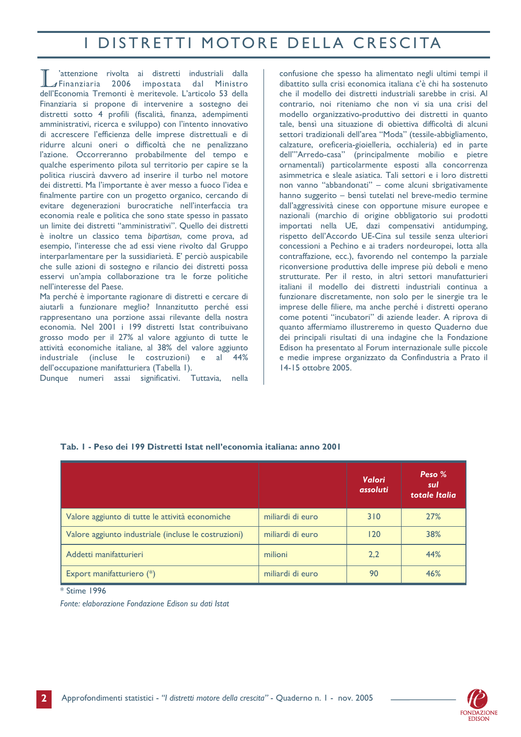## I DISTRETTI MOTORE DELLA CRESCITA

'attenzione rivolta ai distretti industriali dalla  $\sqrt{\frac{1}{2}}$ Finanziaria 2006 impostata dal Ministro dell'Economia Tremonti è meritevole. L'articolo 53 della Finanziaria si propone di intervenire a sostegno dei distretti sotto 4 profili (fiscalità, finanza, adempimenti amministrativi, ricerca e sviluppo) con l'intento innovativo di accrescere l'efficienza delle imprese distrettuali e di ridurre alcuni oneri o difficoltà che ne penalizzano l'azione. Occorreranno probabilmente del tempo e qualche esperimento pilota sul territorio per capire se la politica riuscirà davvero ad inserire il turbo nel motore dei distretti. Ma l'importante è aver messo a fuoco l'idea e finalmente partire con un progetto organico, cercando di evitare degenerazioni burocratiche nell'interfaccia tra economia reale e politica che sono state spesso in passato un limite dei distretti "amministrativi". Quello dei distretti è inoltre un classico tema bibartisan, come prova, ad esempio. l'interesse che ad essi viene rivolto dal Gruppo interparlamentare per la sussidiarietà. E' perciò auspicabile che sulle azioni di sostegno e rilancio dei distretti possa esservi un'ampia collaborazione tra le forze politiche nell'interesse del Paese.

Ma perché è importante ragionare di distretti e cercare di aiutarli a funzionare meglio? Innanzitutto perché essi rappresentano una porzione assai rilevante della nostra economia. Nel 2001 i 199 distretti Istat contribuivano grosso modo per il 27% al valore aggiunto di tutte le attività economiche italiane, al 38% del valore aggiunto industriale (incluse le costruzioni) e al 44% dell'occupazione manifatturiera (Tabella 1).

Dunque numeri assai significativi. Tuttavia, nella

confusione che spesso ha alimentato negli ultimi tempi il dibattito sulla crisi economica italiana c'è chi ha sostenuto che il modello dei distretti industriali sarebbe in crisi. Al contrario, noi riteniamo che non vi sia una crisi del modello organizzativo-produttivo dei distretti in quanto tale, bensì una situazione di obiettiva difficoltà di alcuni settori tradizionali dell'area "Moda" (tessile-abbigliamento, calzature, oreficeria-gioielleria, occhialeria) ed in parte dell"'Arredo-casa" (principalmente mobilio e pietre ornamentali) particolarmente esposti alla concorrenza asimmetrica e sleale asiatica. Tali settori e i loro distretti non vanno "abbandonati" - come alcuni sbrigativamente hanno suggerito - bensì tutelati nel breve-medio termine dall'aggressività cinese con opportune misure europee e nazionali (marchio di origine obbligatorio sui prodotti importati nella UE, dazi compensativi antidumping, rispetto dell'Accordo UE-Cina sul tessile senza ulteriori concessioni a Pechino e ai traders nordeuropei, lotta alla contraffazione, ecc.), favorendo nel contempo la parziale riconversione produttiva delle imprese più deboli e meno strutturate. Per il resto, in altri settori manufatturieri italiani il modello dei distretti industriali continua a funzionare discretamente, non solo per le sinergie tra le imprese delle filiere, ma anche perché i distretti operano come potenti "incubatori" di aziende leader. A riprova di quanto affermiamo illustreremo in questo Quaderno due dei principali risultati di una indagine che la Fondazione Edison ha presentato al Forum internazionale sulle piccole e medie imprese organizzato da Confindustria a Prato il 14-15 ottobre 2005.

|                                                      |                  | <b>Valori</b><br>assoluti | Peso %<br>sul<br>totale Italia |
|------------------------------------------------------|------------------|---------------------------|--------------------------------|
| Valore aggiunto di tutte le attività economiche      | miliardi di euro | 310                       | 27%                            |
| Valore aggiunto industriale (incluse le costruzioni) | miliardi di euro | 120                       | 38%                            |
| Addetti manifatturieri                               | milioni          | 2,2                       | 44%                            |
| Export manifatturiero (*)                            | miliardi di euro | 90                        | 46%                            |

#### Tab. I - Peso dei 199 Distretti Istat nell'economia italiana: anno 2001

\* Stime 1996

Fonte: elaborazione Fondazione Edison su dati Istat

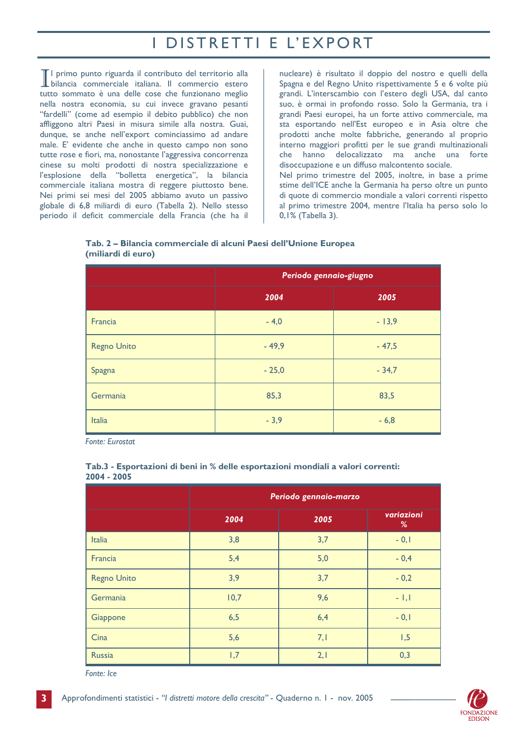## I DISTRETTI E L'EXPORT

TI primo punto riguarda il contributo del territorio alla bilancia commerciale italiana. Il commercio estero tutto sommato è una delle cose che funzionano meglio nella nostra economia, su cui invece gravano pesanti "fardelli" (come ad esempio il debito pubblico) che non affliggono altri Paesi in misura simile alla nostra. Guai, dunque, se anche nell'export cominciassimo ad andare male. E' evidente che anche in questo campo non sono tutte rose e fiori, ma, nonostante l'aggressiva concorrenza cinese su molti prodotti di nostra specializzazione e l'esplosione della "bolletta energetica", la bilancia commerciale italiana mostra di reggere piuttosto bene. Nei primi sei mesi del 2005 abbiamo avuto un passivo globale di 6,8 miliardi di euro (Tabella 2). Nello stesso periodo il deficit commerciale della Francia (che ha il

nucleare) è risultato il doppio del nostro e quelli della Spagna e del Regno Unito rispettivamente 5 e 6 volte più grandi. L'interscambio con l'estero degli USA, dal canto suo, è ormai in profondo rosso. Solo la Germania, tra i grandi Paesi europei, ha un forte attivo commerciale, ma sta esportando nell'Est europeo e in Asia oltre che prodotti anche molte fabbriche, generando al proprio interno maggiori profitti per le sue grandi multinazionali che hanno delocalizzato ma anche una forte disoccupazione e un diffuso malcontento sociale. Nel primo trimestre del 2005, inoltre, in base a prime stime dell'ICE anche la Germania ha perso oltre un punto di quote di commercio mondiale a valori correnti rispetto al primo trimestre 2004, mentre l'Italia ha perso solo lo 0,1% (Tabella 3).

|                    | Tab. 2 - Bilancia commerciale di alcuni Paesi dell'Unione Europea |  |  |  |
|--------------------|-------------------------------------------------------------------|--|--|--|
| (miliardi di euro) |                                                                   |  |  |  |

|                    | Periodo gennaio-giugno |         |  |  |
|--------------------|------------------------|---------|--|--|
|                    | 2004                   | 2005    |  |  |
| Francia            | $-4,0$                 | $-13,9$ |  |  |
| <b>Regno Unito</b> | $-49,9$                | $-47,5$ |  |  |
| Spagna             | $-25,0$                | $-34,7$ |  |  |
| Germania           | 85,3                   | 83,5    |  |  |
| <b>Italia</b>      | $-3,9$                 | $-6,8$  |  |  |

**Fonte: Eurostat** 

|                    | Periodo gennaio-marzo |      |                 |  |
|--------------------|-----------------------|------|-----------------|--|
|                    | 2004                  | 2005 | variazioni<br>% |  |
| <b>Italia</b>      | 3,8                   | 3,7  | $-0,1$          |  |
| Francia            | 5,4                   | 5,0  | $-0,4$          |  |
| <b>Regno Unito</b> | 3,9                   | 3,7  | $-0,2$          |  |
| Germania           | 10,7                  | 9,6  | $-1,1$          |  |
| Giappone           | 6,5                   | 6,4  | $-0,1$          |  |
| Cina               | 5,6                   | 7,1  | 1,5             |  |
| <b>Russia</b>      | 1,7                   | 2,1  | 0,3             |  |

#### Tab.3 - Esportazioni di beni in % delle esportazioni mondiali a valori correnti:  $2004 - 2005$

Fonte: Ice

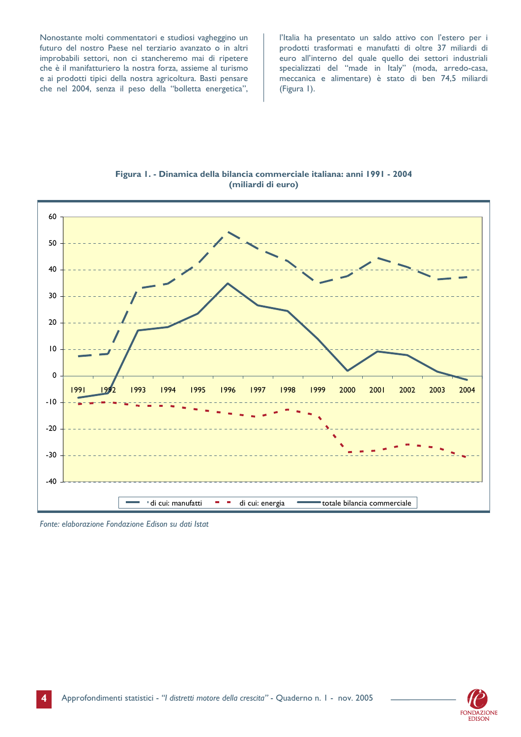Nonostante molti commentatori e studiosi vagheggino un futuro del nostro Paese nel terziario avanzato o in altri improbabili settori, non ci stancheremo mai di ripetere che è il manifatturiero la nostra forza, assieme al turismo e ai prodotti tipici della nostra agricoltura. Basti pensare che nel 2004, senza il peso della "bolletta energetica",

l'Italia ha presentato un saldo attivo con l'estero per i prodotti trasformati e manufatti di oltre 37 miliardi di euro all'interno del quale quello dei settori industriali specializzati del "made in Italy" (moda, arredo-casa,<br>meccanica e alimentare) è stato di ben 74,5 miliardi (Figura I).



Figura I. - Dinamica della bilancia commerciale italiana: anni 1991 - 2004 (miliardi di euro)

Fonte: elaborazione Fondazione Edison su dati Istat

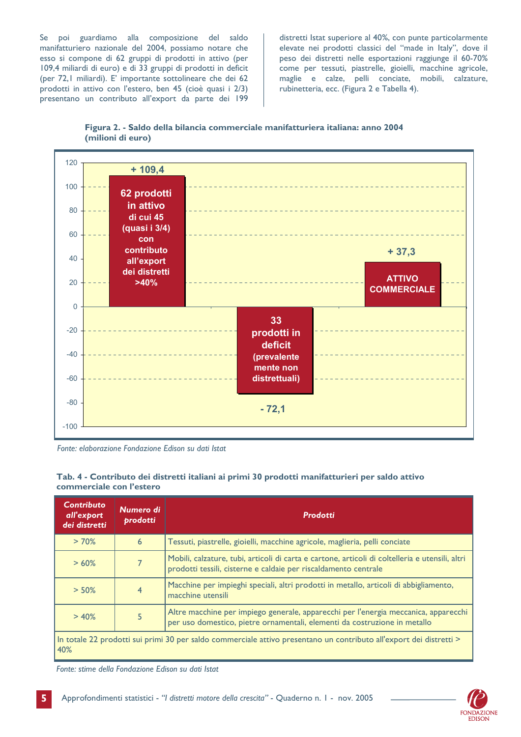Se poi guardiamo alla composizione del saldo manifatturiero nazionale del 2004, possiamo notare che esso si compone di 62 gruppi di prodotti in attivo (per 109,4 miliardi di euro) e di 33 gruppi di prodotti in deficit (per 72,1 miliardi). E' importante sottolineare che dei 62 prodotti in attivo con l'estero, ben 45 (cioè quasi i 2/3) presentano un contributo all'export da parte dei 199

distretti Istat superiore al 40%, con punte particolarmente elevate nei prodotti classici del "made in Italy", dove il peso dei distretti nelle esportazioni raggiunge il 60-70% come per tessuti, piastrelle, gioielli, macchine agricole, maglie e calze, pelli conciate, mobili, calzature, rubinetteria, ecc. (Figura 2 e Tabella 4).





Fonte: elaborazione Fondazione Edison su dati Istat

#### Tab. 4 - Contributo dei distretti italiani ai primi 30 prodotti manifatturieri per saldo attivo commerciale con l'estero

| <b>Contributo</b><br>all'export<br>dei distretti | Numero di<br>prodotti | <b>Prodotti</b>                                                                                                                                                    |
|--------------------------------------------------|-----------------------|--------------------------------------------------------------------------------------------------------------------------------------------------------------------|
| >70%                                             | 6                     | Tessuti, piastrelle, gioielli, macchine agricole, maglieria, pelli conciate                                                                                        |
| >60%                                             |                       | Mobili, calzature, tubi, articoli di carta e cartone, articoli di coltelleria e utensili, altri<br>prodotti tessili, cisterne e caldaie per riscaldamento centrale |
| $> 50\%$                                         | 4                     | Macchine per impieghi speciali, altri prodotti in metallo, articoli di abbigliamento,<br>macchine utensili                                                         |
| > 40%                                            |                       | Altre macchine per impiego generale, apparecchi per l'energia meccanica, apparecchi<br>per uso domestico, pietre ornamentali, elementi da costruzione in metallo   |
| 40%                                              |                       | In totale 22 prodotti sui primi 30 per saldo commerciale attivo presentano un contributo all'export dei distretti >                                                |

Fonte: stime della Fondazione Edison su dati Istat

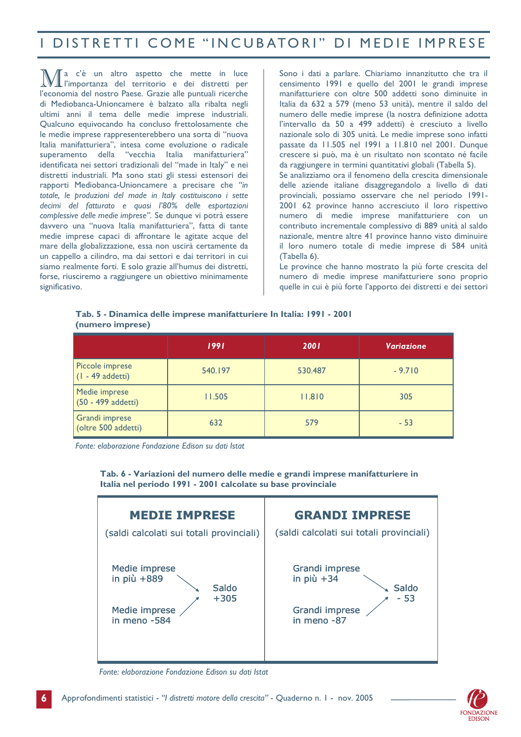### I DISTRETTI COME "INCUBATORI" DI MEDIE IMPRESE

a c'è un altro aspetto che mette in luce l'importanza del territorio e dei distretti per l'economia del nostro Paese. Grazie alle puntuali ricerche di Mediobanca-Unioncamere è balzato alla ribalta negli ultimi anni il tema delle medie imprese industriali. Qualcuno equivocando ha concluso frettolosamente che le medie imprese rappresenterebbero una sorta di "nuova Italia manifatturiera", intesa come evoluzione o radicale superamento della "vecchia Italia manifatturiera" identificata nei settori tradizionali del "made in Italy" e nei distretti industriali. Ma sono stati gli stessi estensori dei rapporti Mediobanca-Unioncamere a precisare che "in totale, le produzioni del made in Italy costituiscono i sette decimi del fatturato e quasi l'80% delle esportazioni complessive delle medie imprese". Se dunque vi potrà essere davvero una "nuova Italia manifatturiera", fatta di tante medie imprese capaci di affrontare le agitate acque del mare della globalizzazione, essa non uscirà certamente da un cappello a cilindro, ma dai settori e dai territori in cui siamo realmente forti. E solo grazie all'humus dei distretti, forse, riusciremo a raggiungere un obiettivo minimamente significativo.

Sono i dati a parlare. Chiariamo innanzitutto che tra il censimento 1991 e quello del 2001 le grandi imprese manifatturiere con oltre 500 addetti sono diminuite in Italia da 632 a 579 (meno 53 unità), mentre il saldo del numero delle medie imprese (la nostra definizione adotta l'intervallo da 50 a 499 addetti) è cresciuto a livello nazionale solo di 305 unità. Le medie imprese sono infatti passate da 11.505 nel 1991 a 11.810 nel 2001. Dunque crescere si può, ma è un risultato non scontato né facile da raggiungere in termini quantitativi globali (Tabella 5). Se analizziamo ora il fenomeno della crescita dimensionale delle aziende italiane disaggregandolo a livello di dati provinciali, possiamo osservare che nel periodo 1991-2001 62 province hanno accresciuto il loro rispettivo numero di medie imprese manifatturiere con un contributo incrementale complessivo di 889 unità al saldo nazionale, mentre altre 41 province hanno visto diminuire il loro numero totale di medie imprese di 584 unità (Tabella 6).

Le province che hanno mostrato la più forte crescita del numero di medie imprese manifatturiere sono proprio quelle in cui è più forte l'apporto dei distretti e dei settori

#### Tab. 5 - Dinamica delle imprese manifatturiere In Italia: 1991 - 2001 (numero imprese)

|                                               | 1991    | 2001    | <b>Variazione</b> |  |
|-----------------------------------------------|---------|---------|-------------------|--|
| Piccole imprese<br>$(1 - 49$ addetti)         | 540.197 | 530.487 | $-9.710$          |  |
| Medie imprese<br>11.505<br>(50 - 499 addetti) |         | 11.810  | 305               |  |
| Grandi imprese<br>(oltre 500 addetti)         | 632     | 579     | $-53$             |  |

Fonte: elaborazione Fondazione Edison su dati Istat

Tab. 6 - Variazioni del numero delle medie e grandi imprese manifatturiere in Italia nel periodo 1991 - 2001 calcolate su base provinciale



Fonte: elaborazione Fondazione Edison su dati Istat

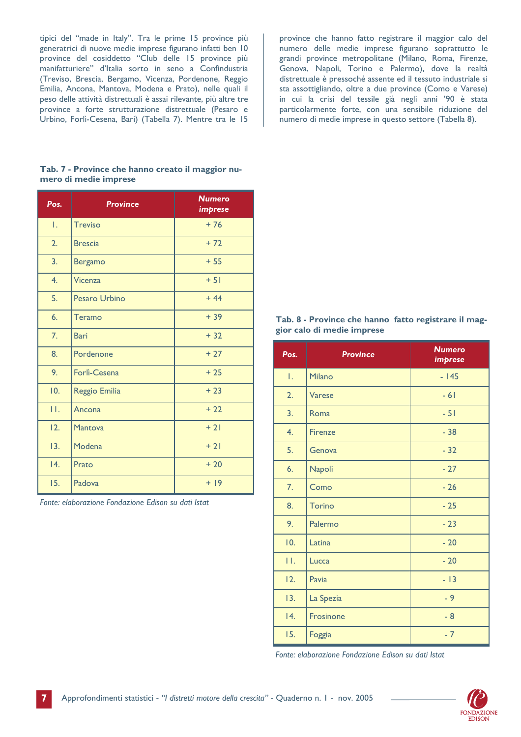tipici del "made in Italy". Tra le prime 15 province più generatrici di nuove medie imprese figurano infatti ben 10 province del cosiddetto "Club delle 15 province più manifatturiere" d'Italia sorto in seno a Confindustria (Treviso, Brescia, Bergamo, Vicenza, Pordenone, Reggio Emilia, Ancona, Mantova, Modena e Prato), nelle quali il peso delle attività distrettuali è assai rilevante, più altre tre province a forte strutturazione distrettuale (Pesaro e Urbino, Forlì-Cesena, Bari) (Tabella 7). Mentre tra le 15

province che hanno fatto registrare il maggior calo del numero delle medie imprese figurano soprattutto le grandi province metropolitane (Milano, Roma, Firenze, Genova, Napoli, Torino e Palermo), dove la realtà distrettuale è pressoché assente ed il tessuto industriale si sta assottigliando, oltre a due province (Como e Varese) in cui la crisi del tessile già negli anni '90 è stata particolarmente forte, con una sensibile riduzione del numero di medie imprese in questo settore (Tabella 8).

#### Tab. 7 - Province che hanno creato il maggior numero di medie imprese

| Pos. | <b>Province</b>      | <b>Numero</b><br><i><b>imprese</b></i> |
|------|----------------------|----------------------------------------|
| Ι.   | <b>Treviso</b>       | $+76$                                  |
| 2.   | <b>Brescia</b>       | $+72$                                  |
| 3.   | <b>Bergamo</b>       | $+55$                                  |
| 4.   | <b>Vicenza</b>       | $+ 51$                                 |
| 5.   | <b>Pesaro Urbino</b> | $+44$                                  |
| 6.   | Teramo               | $+39$                                  |
| 7.   | <b>Bari</b>          | $+32$                                  |
| 8.   | Pordenone            | $+27$                                  |
| 9.   | Forlì-Cesena         | $+25$                                  |
| 10.  | Reggio Emilia        | $+23$                                  |
| П.   | Ancona               | $+22$                                  |
| 12.  | <b>Mantova</b>       | $+21$                                  |
| 13.  | Modena               | $+21$                                  |
| 4.   | Prato                | $+20$                                  |
| 15.  | Padova               | $+19$                                  |

Fonte: elaborazione Fondazione Edison su dati Istat

#### Tab. 8 - Province che hanno fatto registrare il maggior calo di medie imprese

| Pos. | <b>Province</b> | <b>Numero</b><br><i>imprese</i> |
|------|-----------------|---------------------------------|
| Ι.   | Milano          | $-145$                          |
| 2.   | Varese          | $-61$                           |
| 3.   | Roma            | $-51$                           |
| 4.   | <b>Firenze</b>  | $-38$                           |
| 5.   | Genova          | $-32$                           |
| 6.   | Napoli          | $-27$                           |
| 7.   | Como            | $-26$                           |
| 8.   | <b>Torino</b>   | $-25$                           |
| 9.   | Palermo         | $-23$                           |
| 10.  | Latina          | $-20$                           |
| П.   | Lucca           | $-20$                           |
| 12.  | Pavia           | $-13$                           |
| 13.  | La Spezia       | $-9$                            |
| 4.   | Frosinone       | $-8$                            |
| 15.  | Foggia          | $-7$                            |

Fonte: elaborazione Fondazione Edison su dati Istat

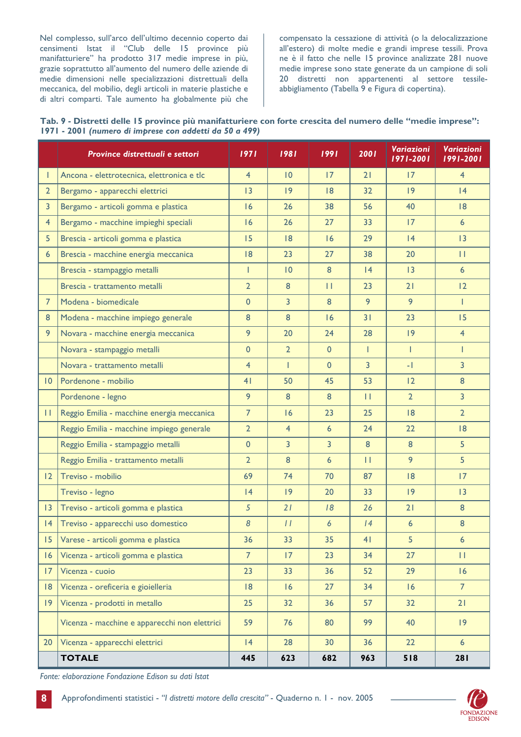Nel complesso, sull'arco dell'ultimo decennio coperto dai censimenti Istat il "Club delle 15 province più manifatturiere" ha prodotto 317 medie imprese in più, grazie soprattutto all'aumento del numero delle aziende di medie dimensioni nelle specializzazioni distrettuali della meccanica, del mobilio, degli articoli in materie plastiche e di altri comparti. Tale aumento ha globalmente più che

compensato la cessazione di attività (o la delocalizzazione all'estero) di molte medie e grandi imprese tessili. Prova ne è il fatto che nelle 15 province analizzate 281 nuove medie imprese sono state generate da un campione di soli 20 distretti non appartenenti al settore tessileabbigliamento (Tabella 9 e Figura di copertina).

| Tab. 9 - Distretti delle 15 province più manifatturiere con forte crescita del numero delle "medie imprese": |  |
|--------------------------------------------------------------------------------------------------------------|--|
| 1971 - 2001 (numero di imprese con addetti da 50 a 499)                                                      |  |

|                  | Province distrettuali e settori               | 1971           | 1981             | 1991           | 2001           | Variazioni<br>1971-2001 | Variazioni<br>1991-2001 |
|------------------|-----------------------------------------------|----------------|------------------|----------------|----------------|-------------------------|-------------------------|
|                  | Ancona - elettrotecnica, elettronica e tlc    | $\overline{4}$ | 10               | 17             | 21             | 17                      | $\overline{4}$          |
| $\overline{2}$   | Bergamo - apparecchi elettrici                | 3              | $ 9\rangle$      | 8              | 32             | $ 9\rangle$             | 4                       |
| $\overline{3}$   | Bergamo - articoli gomma e plastica           | 16             | 26               | 38             | 56             | 40                      | 8                       |
| $\overline{4}$   | Bergamo - macchine impieghi speciali          | 16             | 26               | 27             | 33             | 17                      | $6\overline{6}$         |
| 5                | Brescia - articoli gomma e plastica           | 15             | 8                | 16             | 29             | 4                       | 13                      |
| $6 \overline{6}$ | Brescia - macchine energia meccanica          | 8              | 23               | 27             | 38             | 20                      | $\mathbf{H}$            |
|                  | Brescia - stampaggio metalli                  | T              | 10               | 8              | 4              | 13                      | $6\overline{6}$         |
|                  | Brescia - trattamento metalli                 | $\overline{2}$ | $\boldsymbol{8}$ | $\mathbf{H}$   | 23             | 21                      | 12                      |
| $\overline{7}$   | Modena - biomedicale                          | $\overline{0}$ | $\overline{3}$   | 8              | 9              | 9                       | T                       |
| 8                | Modena - macchine impiego generale            | 8              | $\boldsymbol{8}$ | 16             | 31             | 23                      | 15                      |
| 9                | Novara - macchine energia meccanica           | 9              | 20               | 24             | 28             | 9                       | $\overline{4}$          |
|                  | Novara - stampaggio metalli                   | $\mathbf{0}$   | $\overline{2}$   | $\mathbf{0}$   | T              | $\mathbf{I}$            | T                       |
|                  | Novara - trattamento metalli                  | $\overline{4}$ | T                | $\mathbf{0}$   | $\overline{3}$ | $-1$                    | $\overline{3}$          |
| 10 <sup>°</sup>  | Pordenone - mobilio                           | 4 <sub>1</sub> | 50               | 45             | 53             | 12                      | 8                       |
|                  | Pordenone - legno                             | 9              | 8                | 8              | $\mathbf{H}$   | $\overline{2}$          | $\overline{3}$          |
| П.               | Reggio Emilia - macchine energia meccanica    | $\overline{7}$ | 16               | 23             | 25             | 8                       | $\overline{2}$          |
|                  | Reggio Emilia - macchine impiego generale     | $\overline{2}$ | $\overline{4}$   | 6              | 24             | 22                      | 8                       |
|                  | Reggio Emilia - stampaggio metalli            | $\mathbf{0}$   | $\overline{3}$   | $\overline{3}$ | 8              | 8                       | 5                       |
|                  | Reggio Emilia - trattamento metalli           | $\overline{2}$ | 8                | 6              | $\mathbf{H}$   | 9                       | 5                       |
| $ 2\rangle$      | Treviso - mobilio                             | 69             | 74               | 70             | 87             | 8                       | 17                      |
|                  | Treviso - legno                               | 4              | 9                | 20             | 33             | $ 9\rangle$             | 3                       |
| $ 3\rangle$      | Treviso - articoli gomma e plastica           | $\overline{5}$ | 21               | 18             | 26             | 21                      | 8                       |
| 4                | Treviso - apparecchi uso domestico            | 8              | $\frac{1}{2}$    | 6              | 4              | 6                       | 8                       |
| 15 <sub>1</sub>  | Varese - articoli gomma e plastica            | 36             | 33               | 35             | 41             | 5                       | 6                       |
| 16               | Vicenza - articoli gomma e plastica           | 7 <sup>1</sup> | 17 <sup>2</sup>  | 23             | 34             | 27                      | П                       |
| 17 <sup>2</sup>  | Vicenza - cuoio                               | 23             | 33               | 36             | 52             | 29                      | 16                      |
| 8                | Vicenza - oreficeria e gioielleria            | 8              | 16               | 27             | 34             | 16                      | 7 <sup>1</sup>          |
| $ 9\rangle$      | Vicenza - prodotti in metallo                 | 25             | 32               | 36             | 57             | 32                      | 21                      |
|                  | Vicenza - macchine e apparecchi non elettrici | 59             | 76               | 80             | 99             | 40                      | 9                       |
| 20               | Vicenza - apparecchi elettrici                | 4              | 28               | 30             | 36             | 22                      | $6\overline{6}$         |
|                  | <b>TOTALE</b>                                 | 445            | 623              | 682            | 963            | 518                     | 281                     |

Fonte: elaborazione Fondazione Edison su dati Istat

 $\boldsymbol{8}$